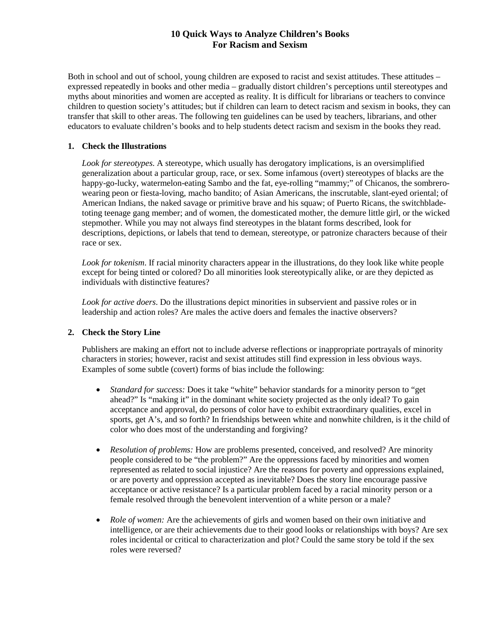# **10 Quick Ways to Analyze Children's Books For Racism and Sexism**

Both in school and out of school, young children are exposed to racist and sexist attitudes. These attitudes – expressed repeatedly in books and other media – gradually distort children's perceptions until stereotypes and myths about minorities and women are accepted as reality. It is difficult for librarians or teachers to convince children to question society's attitudes; but if children can learn to detect racism and sexism in books, they can transfer that skill to other areas. The following ten guidelines can be used by teachers, librarians, and other educators to evaluate children's books and to help students detect racism and sexism in the books they read.

### **1. Check the Illustrations**

*Look for stereotypes*. A stereotype, which usually has derogatory implications, is an oversimplified generalization about a particular group, race, or sex. Some infamous (overt) stereotypes of blacks are the happy-go-lucky, watermelon-eating Sambo and the fat, eye-rolling "mammy;" of Chicanos, the sombrerowearing peon or fiesta-loving, macho bandito; of Asian Americans, the inscrutable, slant-eyed oriental; of American Indians, the naked savage or primitive brave and his squaw; of Puerto Ricans, the switchbladetoting teenage gang member; and of women, the domesticated mother, the demure little girl, or the wicked stepmother. While you may not always find stereotypes in the blatant forms described, look for descriptions, depictions, or labels that tend to demean, stereotype, or patronize characters because of their race or sex.

*Look for tokenism*. If racial minority characters appear in the illustrations, do they look like white people except for being tinted or colored? Do all minorities look stereotypically alike, or are they depicted as individuals with distinctive features?

*Look for active doers*. Do the illustrations depict minorities in subservient and passive roles or in leadership and action roles? Are males the active doers and females the inactive observers?

## **2. Check the Story Line**

Publishers are making an effort not to include adverse reflections or inappropriate portrayals of minority characters in stories; however, racist and sexist attitudes still find expression in less obvious ways. Examples of some subtle (covert) forms of bias include the following:

- *Standard for success:* Does it take "white" behavior standards for a minority person to "get ahead?" Is "making it" in the dominant white society projected as the only ideal? To gain acceptance and approval, do persons of color have to exhibit extraordinary qualities, excel in sports, get A's, and so forth? In friendships between white and nonwhite children, is it the child of color who does most of the understanding and forgiving?
- *Resolution of problems:* How are problems presented, conceived, and resolved? Are minority people considered to be "the problem?" Are the oppressions faced by minorities and women represented as related to social injustice? Are the reasons for poverty and oppressions explained, or are poverty and oppression accepted as inevitable? Does the story line encourage passive acceptance or active resistance? Is a particular problem faced by a racial minority person or a female resolved through the benevolent intervention of a white person or a male?
- *Role of women:* Are the achievements of girls and women based on their own initiative and intelligence, or are their achievements due to their good looks or relationships with boys? Are sex roles incidental or critical to characterization and plot? Could the same story be told if the sex roles were reversed?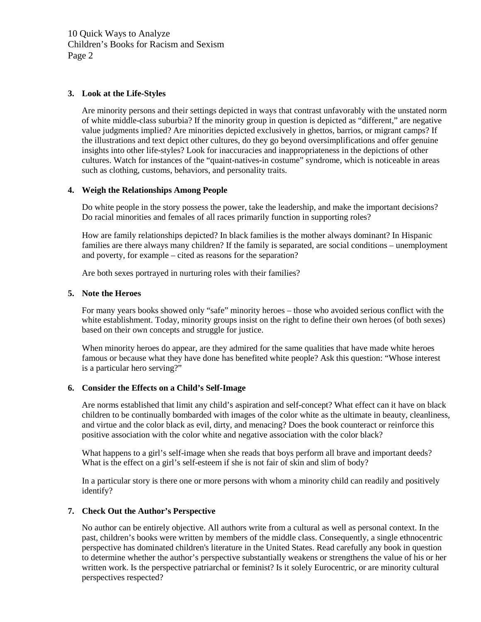10 Quick Ways to Analyze Children's Books for Racism and Sexism Page 2

#### **3. Look at the Life-Styles**

Are minority persons and their settings depicted in ways that contrast unfavorably with the unstated norm of white middle-class suburbia? If the minority group in question is depicted as "different," are negative value judgments implied? Are minorities depicted exclusively in ghettos, barrios, or migrant camps? If the illustrations and text depict other cultures, do they go beyond oversimplifications and offer genuine insights into other life-styles? Look for inaccuracies and inappropriateness in the depictions of other cultures. Watch for instances of the "quaint-natives-in costume" syndrome, which is noticeable in areas such as clothing, customs, behaviors, and personality traits.

#### **4. Weigh the Relationships Among People**

Do white people in the story possess the power, take the leadership, and make the important decisions? Do racial minorities and females of all races primarily function in supporting roles?

How are family relationships depicted? In black families is the mother always dominant? In Hispanic families are there always many children? If the family is separated, are social conditions – unemployment and poverty, for example – cited as reasons for the separation?

Are both sexes portrayed in nurturing roles with their families?

#### **5. Note the Heroes**

For many years books showed only "safe" minority heroes – those who avoided serious conflict with the white establishment. Today, minority groups insist on the right to define their own heroes (of both sexes) based on their own concepts and struggle for justice.

When minority heroes do appear, are they admired for the same qualities that have made white heroes famous or because what they have done has benefited white people? Ask this question: "Whose interest is a particular hero serving?"

### **6. Consider the Effects on a Child's Self-Image**

Are norms established that limit any child's aspiration and self-concept? What effect can it have on black children to be continually bombarded with images of the color white as the ultimate in beauty, cleanliness, and virtue and the color black as evil, dirty, and menacing? Does the book counteract or reinforce this positive association with the color white and negative association with the color black?

What happens to a girl's self-image when she reads that boys perform all brave and important deeds? What is the effect on a girl's self-esteem if she is not fair of skin and slim of body?

In a particular story is there one or more persons with whom a minority child can readily and positively identify?

### **7. Check Out the Author's Perspective**

No author can be entirely objective. All authors write from a cultural as well as personal context. In the past, children's books were written by members of the middle class. Consequently, a single ethnocentric perspective has dominated children's literature in the United States. Read carefully any book in question to determine whether the author's perspective substantially weakens or strengthens the value of his or her written work. Is the perspective patriarchal or feminist? Is it solely Eurocentric, or are minority cultural perspectives respected?